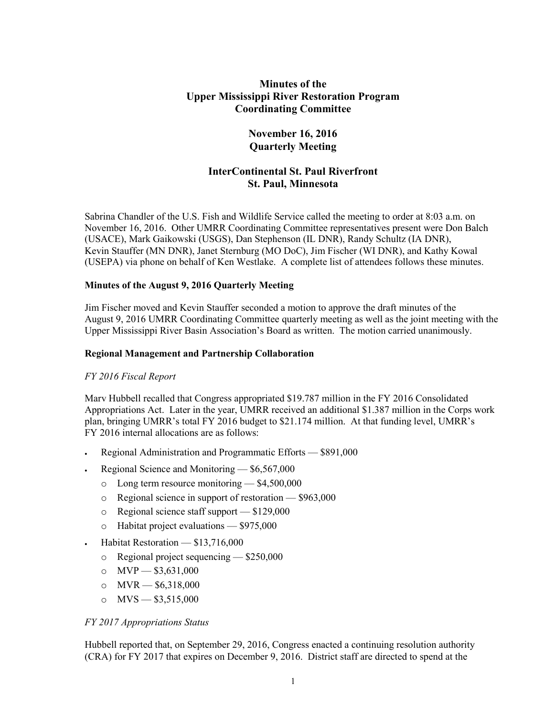# **Minutes of the Upper Mississippi River Restoration Program Coordinating Committee**

## **November 16, 2016 Quarterly Meeting**

# **InterContinental St. Paul Riverfront St. Paul, Minnesota**

Sabrina Chandler of the U.S. Fish and Wildlife Service called the meeting to order at 8:03 a.m. on November 16, 2016. Other UMRR Coordinating Committee representatives present were Don Balch (USACE), Mark Gaikowski (USGS), Dan Stephenson (IL DNR), Randy Schultz (IA DNR), Kevin Stauffer (MN DNR), Janet Sternburg (MO DoC), Jim Fischer (WI DNR), and Kathy Kowal (USEPA) via phone on behalf of Ken Westlake. A complete list of attendees follows these minutes.

### **Minutes of the August 9, 2016 Quarterly Meeting**

Jim Fischer moved and Kevin Stauffer seconded a motion to approve the draft minutes of the August 9, 2016 UMRR Coordinating Committee quarterly meeting as well as the joint meeting with the Upper Mississippi River Basin Association's Board as written. The motion carried unanimously.

### **Regional Management and Partnership Collaboration**

## *FY 2016 Fiscal Report*

Marv Hubbell recalled that Congress appropriated \$19.787 million in the FY 2016 Consolidated Appropriations Act. Later in the year, UMRR received an additional \$1.387 million in the Corps work plan, bringing UMRR's total FY 2016 budget to \$21.174 million. At that funding level, UMRR's FY 2016 internal allocations are as follows:

- Regional Administration and Programmatic Efforts \$891,000
- Regional Science and Monitoring \$6,567,000
	- o Long term resource monitoring \$4,500,000
	- o Regional science in support of restoration \$963,000
	- o Regional science staff support \$129,000
	- o Habitat project evaluations \$975,000
- Habitat Restoration \$13,716,000
	- o Regional project sequencing \$250,000
	- $\circ$  MVP  $-$  \$3,631,000
	- o  $MVR = $6,318,000$
	- o  $MVS = $3,515,000$

### *FY 2017 Appropriations Status*

Hubbell reported that, on September 29, 2016, Congress enacted a continuing resolution authority (CRA) for FY 2017 that expires on December 9, 2016. District staff are directed to spend at the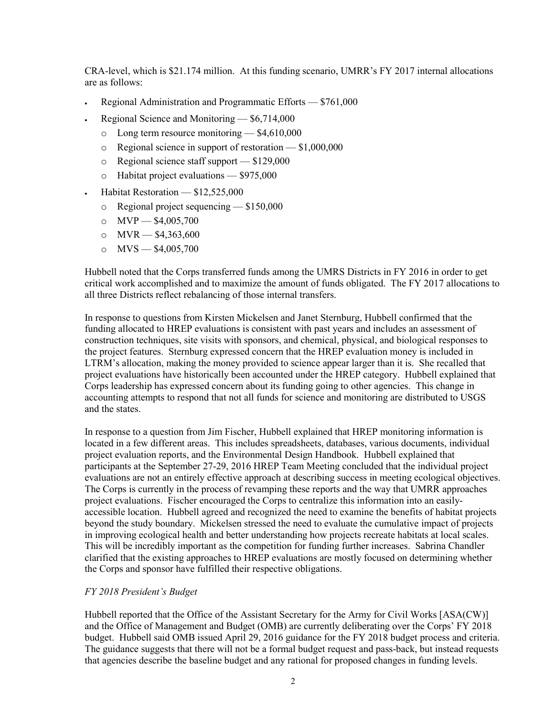CRA-level, which is \$21.174 million. At this funding scenario, UMRR's FY 2017 internal allocations are as follows:

- Regional Administration and Programmatic Efforts \$761,000
- Regional Science and Monitoring \$6,714,000
	- o Long term resource monitoring \$4,610,000
	- o Regional science in support of restoration \$1,000,000
	- o Regional science staff support \$129,000
	- o Habitat project evaluations \$975,000
- $\cdot$  Habitat Restoration  $$12,525,000$ 
	- o Regional project sequencing \$150,000
	- $\circ$  MVP \$4,005,700
	- o  $MVR = $4,363,600$
	- o  $MVS = $4,005,700$

Hubbell noted that the Corps transferred funds among the UMRS Districts in FY 2016 in order to get critical work accomplished and to maximize the amount of funds obligated. The FY 2017 allocations to all three Districts reflect rebalancing of those internal transfers.

In response to questions from Kirsten Mickelsen and Janet Sternburg, Hubbell confirmed that the funding allocated to HREP evaluations is consistent with past years and includes an assessment of construction techniques, site visits with sponsors, and chemical, physical, and biological responses to the project features. Sternburg expressed concern that the HREP evaluation money is included in LTRM's allocation, making the money provided to science appear larger than it is. She recalled that project evaluations have historically been accounted under the HREP category. Hubbell explained that Corps leadership has expressed concern about its funding going to other agencies. This change in accounting attempts to respond that not all funds for science and monitoring are distributed to USGS and the states.

In response to a question from Jim Fischer, Hubbell explained that HREP monitoring information is located in a few different areas. This includes spreadsheets, databases, various documents, individual project evaluation reports, and the Environmental Design Handbook. Hubbell explained that participants at the September 27-29, 2016 HREP Team Meeting concluded that the individual project evaluations are not an entirely effective approach at describing success in meeting ecological objectives. The Corps is currently in the process of revamping these reports and the way that UMRR approaches project evaluations. Fischer encouraged the Corps to centralize this information into an easilyaccessible location. Hubbell agreed and recognized the need to examine the benefits of habitat projects beyond the study boundary. Mickelsen stressed the need to evaluate the cumulative impact of projects in improving ecological health and better understanding how projects recreate habitats at local scales. This will be incredibly important as the competition for funding further increases. Sabrina Chandler clarified that the existing approaches to HREP evaluations are mostly focused on determining whether the Corps and sponsor have fulfilled their respective obligations.

### *FY 2018 President's Budget*

Hubbell reported that the Office of the Assistant Secretary for the Army for Civil Works [ASA(CW)] and the Office of Management and Budget (OMB) are currently deliberating over the Corps' FY 2018 budget. Hubbell said OMB issued April 29, 2016 guidance for the FY 2018 budget process and criteria. The guidance suggests that there will not be a formal budget request and pass-back, but instead requests that agencies describe the baseline budget and any rational for proposed changes in funding levels.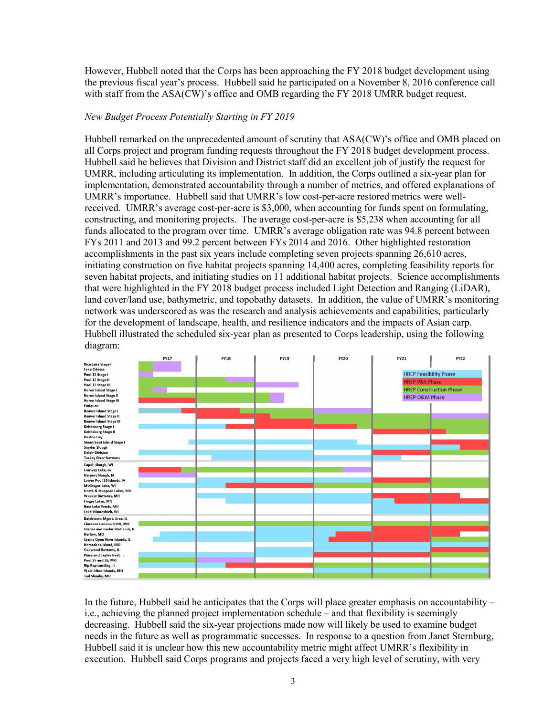However, Hubbell noted that the Corps has been approaching the FY 2018 budget development using the previous fiscal year's process. Hubbell said he participated on a November 8, 2016 conference call with staff from the ASA(CW)'s office and OMB regarding the FY 2018 UMRR budget request.

### *New Budget Process Potentially Starting in FY 2019*

Hubbell remarked on the unprecedented amount of scrutiny that ASA(CW)'s office and OMB placed on all Corps project and program funding requests throughout the FY 2018 budget development process. Hubbell said he believes that Division and District staff did an excellent job of justify the request for UMRR, including articulating its implementation. In addition, the Corps outlined a six-year plan for implementation, demonstrated accountability through a number of metrics, and offered explanations of UMRR's importance. Hubbell said that UMRR's low cost-per-acre restored metrics were wellreceived. UMRR's average cost-per-acre is \$3,000, when accounting for funds spent on formulating, constructing, and monitoring projects. The average cost-per-acre is \$5,238 when accounting for all funds allocated to the program over time. UMRR's average obligation rate was 94.8 percent between FYs 2011 and 2013 and 99.2 percent between FYs 2014 and 2016. Other highlighted restoration accomplishments in the past six years include completing seven projects spanning 26,610 acres, initiating construction on five habitat projects spanning 14,400 acres, completing feasibility reports for seven habitat projects, and initiating studies on 11 additional habitat projects. Science accomplishments that were highlighted in the FY 2018 budget process included Light Detection and Ranging (LiDAR), land cover/land use, bathymetric, and topobathy datasets. In addition, the value of UMRR's monitoring network was underscored as was the research and analysis achievements and capabilities, particularly for the development of landscape, health, and resilience indicators and the impacts of Asian carp. Hubbell illustrated the scheduled six-year plan as presented to Corps leadership, using the following diagram:

|                                                            | FY17 | <b>FY18</b> | FY19 | FY20 | FY21                          | <b>FY22</b>                    |
|------------------------------------------------------------|------|-------------|------|------|-------------------------------|--------------------------------|
| <b>Rice Lake Stage I</b>                                   |      |             |      |      |                               |                                |
| <b>Lake Odessa</b>                                         |      |             |      |      |                               |                                |
| Pool 12 Stage I                                            |      |             |      |      | <b>HREP Feasibility Phase</b> |                                |
| Pool 12 Stage II                                           |      |             |      |      | <b>HREP P&amp;S Phase</b>     |                                |
| Pool 12 Stage III                                          |      |             |      |      |                               |                                |
| <b>Huron Island Stage I</b>                                |      |             |      |      |                               | <b>HREP Construction Phase</b> |
| <b>Huron Island Stage II</b>                               |      |             |      |      | <b>HREP O&amp;M Phase</b>     |                                |
| <b>Huron Island Stage III</b>                              |      |             |      |      |                               |                                |
| Emiguon                                                    |      |             |      |      |                               |                                |
| <b>Beaver Island Stage I</b>                               |      |             |      |      |                               |                                |
| <b>Beaver Island Stage II</b>                              |      |             |      |      |                               |                                |
| <b>Beaver Island Stage III</b>                             |      |             |      |      |                               |                                |
| Keithsburg Stage I                                         |      |             |      |      |                               |                                |
| Keithsburg Stage II                                        |      |             |      |      |                               |                                |
| <b>Boston Bay</b>                                          |      |             |      |      |                               |                                |
| <b>Steamboat Island Stage I</b>                            |      |             |      |      |                               |                                |
| <b>Snyder Slough</b>                                       |      |             |      |      |                               |                                |
| <b>Delair Division</b>                                     |      |             |      |      |                               |                                |
| <b>Turkey River Bottoms</b>                                |      |             |      |      |                               |                                |
| Capoli Slough, WI                                          |      |             |      |      |                               |                                |
| Conway Lake, IA                                            |      |             |      |      |                               |                                |
| Harpers Slough, IA                                         |      |             |      |      |                               |                                |
| Lower Pool 10 Islands, IA                                  |      |             |      |      |                               |                                |
| McGregor Lake, WI                                          |      |             |      |      |                               |                                |
| North & Sturgeon Lakes, MN                                 |      |             |      |      |                               |                                |
| Weaver Bottoms, MN                                         |      |             |      |      |                               |                                |
| <b>Finger Lakes, MN</b>                                    |      |             |      |      |                               |                                |
| <b>Bass Lake Ponds, MN</b>                                 |      |             |      |      |                               |                                |
| Lake Winneshiek, WI                                        |      |             |      |      |                               |                                |
|                                                            |      |             |      |      |                               |                                |
| Batchtown Mgmt. Area, IL<br><b>Clarence Cannon NWR, MO</b> |      |             |      |      |                               |                                |
| Glades and Godar Wetlands, IL                              |      |             |      |      |                               |                                |
| Harlow, MO                                                 |      |             |      |      |                               |                                |
| Crains Open River Islands, IL                              |      |             |      |      |                               |                                |
| Horseshoe Island, MO                                       |      |             |      |      |                               |                                |
| <b>Oakwood Bottoms, IL</b>                                 |      |             |      |      |                               |                                |
| Piasa and Eagles Nest, IL                                  |      |             |      |      |                               |                                |
| Pool 25 and 26, MO                                         |      |             |      |      |                               |                                |
| Rip Rap Landing, IL                                        |      |             |      |      |                               |                                |
| West Alton Islands, MO                                     |      |             |      |      |                               |                                |
| <b>Ted Shanks, MO</b>                                      |      |             |      |      |                               |                                |
|                                                            |      |             |      |      |                               |                                |

In the future, Hubbell said he anticipates that the Corps will place greater emphasis on accountability – i.e., achieving the planned project implementation schedule – and that flexibility is seemingly decreasing. Hubbell said the six-year projections made now will likely be used to examine budget needs in the future as well as programmatic successes. In response to a question from Janet Sternburg, Hubbell said it is unclear how this new accountability metric might affect UMRR's flexibility in execution. Hubbell said Corps programs and projects faced a very high level of scrutiny, with very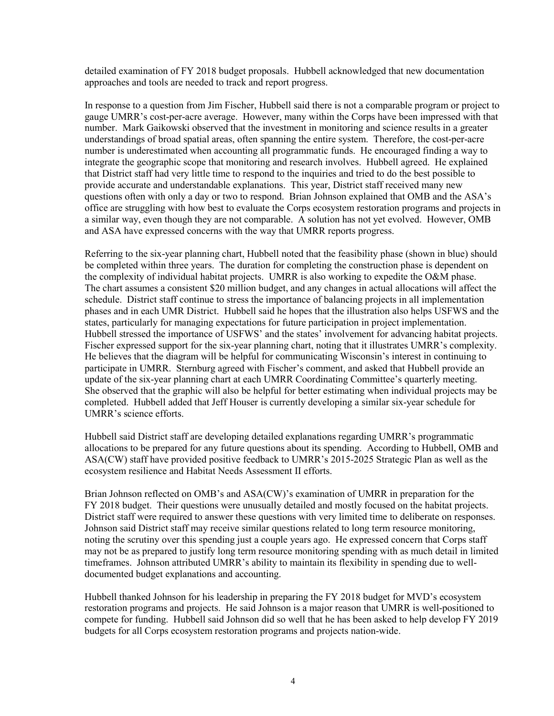detailed examination of FY 2018 budget proposals. Hubbell acknowledged that new documentation approaches and tools are needed to track and report progress.

In response to a question from Jim Fischer, Hubbell said there is not a comparable program or project to gauge UMRR's cost-per-acre average. However, many within the Corps have been impressed with that number. Mark Gaikowski observed that the investment in monitoring and science results in a greater understandings of broad spatial areas, often spanning the entire system. Therefore, the cost-per-acre number is underestimated when accounting all programmatic funds. He encouraged finding a way to integrate the geographic scope that monitoring and research involves. Hubbell agreed. He explained that District staff had very little time to respond to the inquiries and tried to do the best possible to provide accurate and understandable explanations. This year, District staff received many new questions often with only a day or two to respond. Brian Johnson explained that OMB and the ASA's office are struggling with how best to evaluate the Corps ecosystem restoration programs and projects in a similar way, even though they are not comparable. A solution has not yet evolved. However, OMB and ASA have expressed concerns with the way that UMRR reports progress.

Referring to the six-year planning chart, Hubbell noted that the feasibility phase (shown in blue) should be completed within three years. The duration for completing the construction phase is dependent on the complexity of individual habitat projects. UMRR is also working to expedite the O&M phase. The chart assumes a consistent \$20 million budget, and any changes in actual allocations will affect the schedule. District staff continue to stress the importance of balancing projects in all implementation phases and in each UMR District. Hubbell said he hopes that the illustration also helps USFWS and the states, particularly for managing expectations for future participation in project implementation. Hubbell stressed the importance of USFWS' and the states' involvement for advancing habitat projects. Fischer expressed support for the six-year planning chart, noting that it illustrates UMRR's complexity. He believes that the diagram will be helpful for communicating Wisconsin's interest in continuing to participate in UMRR. Sternburg agreed with Fischer's comment, and asked that Hubbell provide an update of the six-year planning chart at each UMRR Coordinating Committee's quarterly meeting. She observed that the graphic will also be helpful for better estimating when individual projects may be completed. Hubbell added that Jeff Houser is currently developing a similar six-year schedule for UMRR's science efforts.

Hubbell said District staff are developing detailed explanations regarding UMRR's programmatic allocations to be prepared for any future questions about its spending. According to Hubbell, OMB and ASA(CW) staff have provided positive feedback to UMRR's 2015-2025 Strategic Plan as well as the ecosystem resilience and Habitat Needs Assessment II efforts.

Brian Johnson reflected on OMB's and ASA(CW)'s examination of UMRR in preparation for the FY 2018 budget. Their questions were unusually detailed and mostly focused on the habitat projects. District staff were required to answer these questions with very limited time to deliberate on responses. Johnson said District staff may receive similar questions related to long term resource monitoring, noting the scrutiny over this spending just a couple years ago. He expressed concern that Corps staff may not be as prepared to justify long term resource monitoring spending with as much detail in limited timeframes. Johnson attributed UMRR's ability to maintain its flexibility in spending due to welldocumented budget explanations and accounting.

Hubbell thanked Johnson for his leadership in preparing the FY 2018 budget for MVD's ecosystem restoration programs and projects. He said Johnson is a major reason that UMRR is well-positioned to compete for funding. Hubbell said Johnson did so well that he has been asked to help develop FY 2019 budgets for all Corps ecosystem restoration programs and projects nation-wide.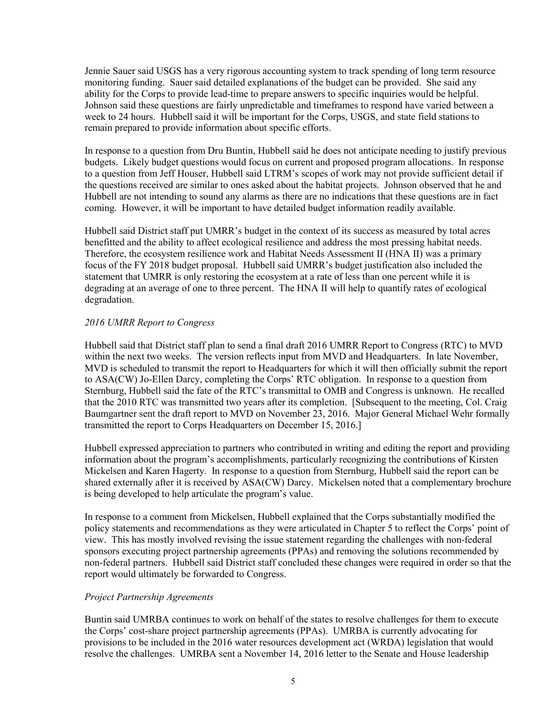Jennie Sauer said USGS has a very rigorous accounting system to track spending of long term resource monitoring funding. Sauer said detailed explanations of the budget can be provided. She said any ability for the Corps to provide lead-time to prepare answers to specific inquiries would be helpful. Johnson said these questions are fairly unpredictable and timeframes to respond have varied between a week to 24 hours. Hubbell said it will be important for the Corps, USGS, and state field stations to remain prepared to provide information about specific efforts.

In response to a question from Dru Buntin, Hubbell said he does not anticipate needing to justify previous budgets. Likely budget questions would focus on current and proposed program allocations. In response to a question from Jeff Houser, Hubbell said LTRM's scopes of work may not provide sufficient detail if the questions received are similar to ones asked about the habitat projects. Johnson observed that he and Hubbell are not intending to sound any alarms as there are no indications that these questions are in fact coming. However, it will be important to have detailed budget information readily available.

Hubbell said District staff put UMRR's budget in the context of its success as measured by total acres benefitted and the ability to affect ecological resilience and address the most pressing habitat needs. Therefore, the ecosystem resilience work and Habitat Needs Assessment II (HNA II) was a primary focus of the FY 2018 budget proposal. Hubbell said UMRR's budget justification also included the statement that UMRR is only restoring the ecosystem at a rate of less than one percent while it is degrading at an average of one to three percent. The HNA II will help to quantify rates of ecological degradation.

### *2016 UMRR Report to Congress*

Hubbell said that District staff plan to send a final draft 2016 UMRR Report to Congress (RTC) to MVD within the next two weeks. The version reflects input from MVD and Headquarters. In late November, MVD is scheduled to transmit the report to Headquarters for which it will then officially submit the report to ASA(CW) Jo-Ellen Darcy, completing the Corps' RTC obligation. In response to a question from Sternburg, Hubbell said the fate of the RTC's transmittal to OMB and Congress is unknown. He recalled that the 2010 RTC was transmitted two years after its completion. [Subsequent to the meeting, Col. Craig Baumgartner sent the draft report to MVD on November 23, 2016. Major General Michael Wehr formally transmitted the report to Corps Headquarters on December 15, 2016.]

Hubbell expressed appreciation to partners who contributed in writing and editing the report and providing information about the program's accomplishments, particularly recognizing the contributions of Kirsten Mickelsen and Karen Hagerty. In response to a question from Sternburg, Hubbell said the report can be shared externally after it is received by ASA(CW) Darcy. Mickelsen noted that a complementary brochure is being developed to help articulate the program's value.

In response to a comment from Mickelsen, Hubbell explained that the Corps substantially modified the policy statements and recommendations as they were articulated in Chapter 5 to reflect the Corps' point of view. This has mostly involved revising the issue statement regarding the challenges with non-federal sponsors executing project partnership agreements (PPAs) and removing the solutions recommended by non-federal partners. Hubbell said District staff concluded these changes were required in order so that the report would ultimately be forwarded to Congress.

## *Project Partnership Agreements*

Buntin said UMRBA continues to work on behalf of the states to resolve challenges for them to execute the Corps' cost-share project partnership agreements (PPAs). UMRBA is currently advocating for provisions to be included in the 2016 water resources development act (WRDA) legislation that would resolve the challenges. UMRBA sent a November 14, 2016 letter to the Senate and House leadership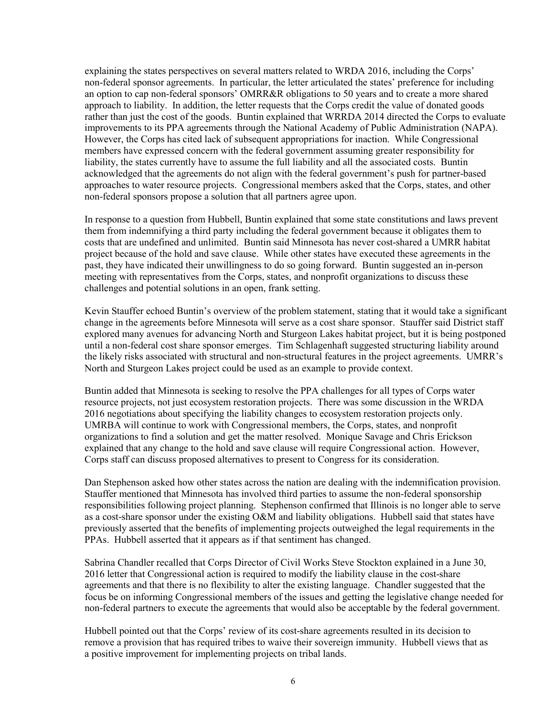explaining the states perspectives on several matters related to WRDA 2016, including the Corps' non-federal sponsor agreements. In particular, the letter articulated the states' preference for including an option to cap non-federal sponsors' OMRR&R obligations to 50 years and to create a more shared approach to liability. In addition, the letter requests that the Corps credit the value of donated goods rather than just the cost of the goods. Buntin explained that WRRDA 2014 directed the Corps to evaluate improvements to its PPA agreements through the National Academy of Public Administration (NAPA). However, the Corps has cited lack of subsequent appropriations for inaction. While Congressional members have expressed concern with the federal government assuming greater responsibility for liability, the states currently have to assume the full liability and all the associated costs. Buntin acknowledged that the agreements do not align with the federal government's push for partner-based approaches to water resource projects. Congressional members asked that the Corps, states, and other non-federal sponsors propose a solution that all partners agree upon.

In response to a question from Hubbell, Buntin explained that some state constitutions and laws prevent them from indemnifying a third party including the federal government because it obligates them to costs that are undefined and unlimited. Buntin said Minnesota has never cost-shared a UMRR habitat project because of the hold and save clause. While other states have executed these agreements in the past, they have indicated their unwillingness to do so going forward. Buntin suggested an in-person meeting with representatives from the Corps, states, and nonprofit organizations to discuss these challenges and potential solutions in an open, frank setting.

Kevin Stauffer echoed Buntin's overview of the problem statement, stating that it would take a significant change in the agreements before Minnesota will serve as a cost share sponsor. Stauffer said District staff explored many avenues for advancing North and Sturgeon Lakes habitat project, but it is being postponed until a non-federal cost share sponsor emerges. Tim Schlagenhaft suggested structuring liability around the likely risks associated with structural and non-structural features in the project agreements. UMRR's North and Sturgeon Lakes project could be used as an example to provide context.

Buntin added that Minnesota is seeking to resolve the PPA challenges for all types of Corps water resource projects, not just ecosystem restoration projects. There was some discussion in the WRDA 2016 negotiations about specifying the liability changes to ecosystem restoration projects only. UMRBA will continue to work with Congressional members, the Corps, states, and nonprofit organizations to find a solution and get the matter resolved. Monique Savage and Chris Erickson explained that any change to the hold and save clause will require Congressional action. However, Corps staff can discuss proposed alternatives to present to Congress for its consideration.

Dan Stephenson asked how other states across the nation are dealing with the indemnification provision. Stauffer mentioned that Minnesota has involved third parties to assume the non-federal sponsorship responsibilities following project planning. Stephenson confirmed that Illinois is no longer able to serve as a cost-share sponsor under the existing O&M and liability obligations. Hubbell said that states have previously asserted that the benefits of implementing projects outweighed the legal requirements in the PPAs. Hubbell asserted that it appears as if that sentiment has changed.

Sabrina Chandler recalled that Corps Director of Civil Works Steve Stockton explained in a June 30, 2016 letter that Congressional action is required to modify the liability clause in the cost-share agreements and that there is no flexibility to alter the existing language. Chandler suggested that the focus be on informing Congressional members of the issues and getting the legislative change needed for non-federal partners to execute the agreements that would also be acceptable by the federal government.

Hubbell pointed out that the Corps' review of its cost-share agreements resulted in its decision to remove a provision that has required tribes to waive their sovereign immunity. Hubbell views that as a positive improvement for implementing projects on tribal lands.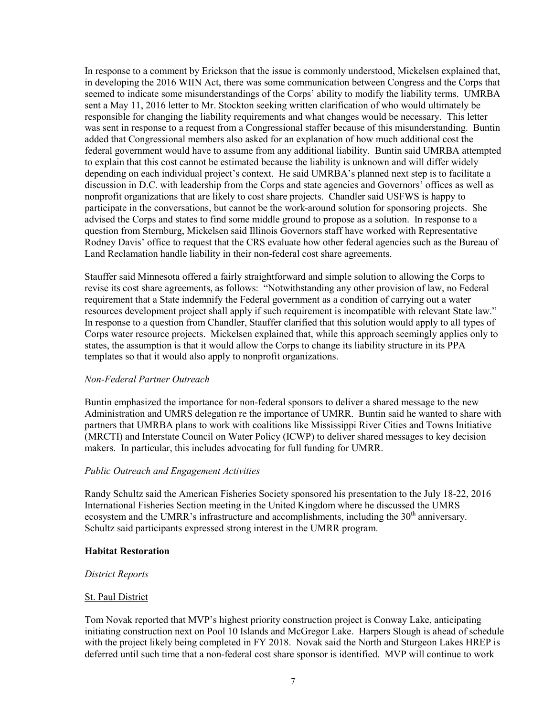In response to a comment by Erickson that the issue is commonly understood, Mickelsen explained that, in developing the 2016 WIIN Act, there was some communication between Congress and the Corps that seemed to indicate some misunderstandings of the Corps' ability to modify the liability terms. UMRBA sent a May 11, 2016 letter to Mr. Stockton seeking written clarification of who would ultimately be responsible for changing the liability requirements and what changes would be necessary. This letter was sent in response to a request from a Congressional staffer because of this misunderstanding. Buntin added that Congressional members also asked for an explanation of how much additional cost the federal government would have to assume from any additional liability. Buntin said UMRBA attempted to explain that this cost cannot be estimated because the liability is unknown and will differ widely depending on each individual project's context. He said UMRBA's planned next step is to facilitate a discussion in D.C. with leadership from the Corps and state agencies and Governors' offices as well as nonprofit organizations that are likely to cost share projects. Chandler said USFWS is happy to participate in the conversations, but cannot be the work-around solution for sponsoring projects. She advised the Corps and states to find some middle ground to propose as a solution. In response to a question from Sternburg, Mickelsen said Illinois Governors staff have worked with Representative Rodney Davis' office to request that the CRS evaluate how other federal agencies such as the Bureau of Land Reclamation handle liability in their non-federal cost share agreements.

Stauffer said Minnesota offered a fairly straightforward and simple solution to allowing the Corps to revise its cost share agreements, as follows: "Notwithstanding any other provision of law, no Federal requirement that a State indemnify the Federal government as a condition of carrying out a water resources development project shall apply if such requirement is incompatible with relevant State law." In response to a question from Chandler, Stauffer clarified that this solution would apply to all types of Corps water resource projects. Mickelsen explained that, while this approach seemingly applies only to states, the assumption is that it would allow the Corps to change its liability structure in its PPA templates so that it would also apply to nonprofit organizations.

### *Non-Federal Partner Outreach*

Buntin emphasized the importance for non-federal sponsors to deliver a shared message to the new Administration and UMRS delegation re the importance of UMRR. Buntin said he wanted to share with partners that UMRBA plans to work with coalitions like Mississippi River Cities and Towns Initiative (MRCTI) and Interstate Council on Water Policy (ICWP) to deliver shared messages to key decision makers. In particular, this includes advocating for full funding for UMRR.

### *Public Outreach and Engagement Activities*

Randy Schultz said the American Fisheries Society sponsored his presentation to the July 18-22, 2016 International Fisheries Section meeting in the United Kingdom where he discussed the UMRS ecosystem and the UMRR's infrastructure and accomplishments, including the  $30<sup>th</sup>$  anniversary. Schultz said participants expressed strong interest in the UMRR program.

#### **Habitat Restoration**

#### *District Reports*

#### St. Paul District

Tom Novak reported that MVP's highest priority construction project is Conway Lake, anticipating initiating construction next on Pool 10 Islands and McGregor Lake. Harpers Slough is ahead of schedule with the project likely being completed in FY 2018. Novak said the North and Sturgeon Lakes HREP is deferred until such time that a non-federal cost share sponsor is identified. MVP will continue to work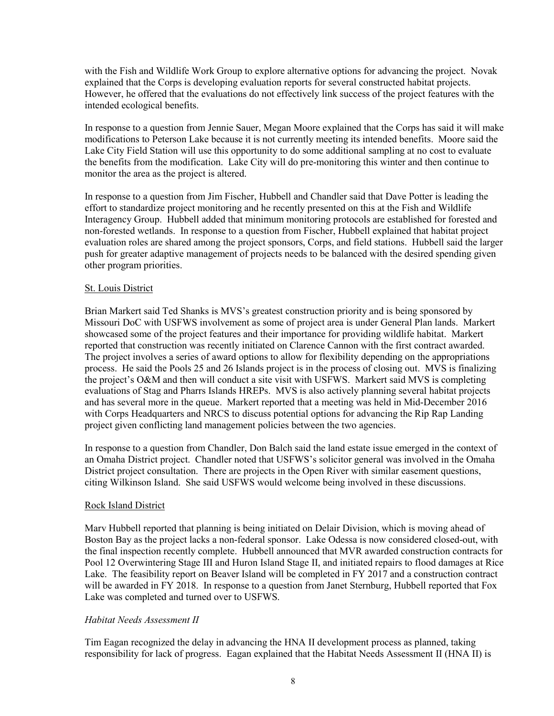with the Fish and Wildlife Work Group to explore alternative options for advancing the project. Novak explained that the Corps is developing evaluation reports for several constructed habitat projects. However, he offered that the evaluations do not effectively link success of the project features with the intended ecological benefits.

In response to a question from Jennie Sauer, Megan Moore explained that the Corps has said it will make modifications to Peterson Lake because it is not currently meeting its intended benefits. Moore said the Lake City Field Station will use this opportunity to do some additional sampling at no cost to evaluate the benefits from the modification. Lake City will do pre-monitoring this winter and then continue to monitor the area as the project is altered.

In response to a question from Jim Fischer, Hubbell and Chandler said that Dave Potter is leading the effort to standardize project monitoring and he recently presented on this at the Fish and Wildlife Interagency Group. Hubbell added that minimum monitoring protocols are established for forested and non-forested wetlands. In response to a question from Fischer, Hubbell explained that habitat project evaluation roles are shared among the project sponsors, Corps, and field stations. Hubbell said the larger push for greater adaptive management of projects needs to be balanced with the desired spending given other program priorities.

### St. Louis District

Brian Markert said Ted Shanks is MVS's greatest construction priority and is being sponsored by Missouri DoC with USFWS involvement as some of project area is under General Plan lands. Markert showcased some of the project features and their importance for providing wildlife habitat. Markert reported that construction was recently initiated on Clarence Cannon with the first contract awarded. The project involves a series of award options to allow for flexibility depending on the appropriations process. He said the Pools 25 and 26 Islands project is in the process of closing out. MVS is finalizing the project's O&M and then will conduct a site visit with USFWS. Markert said MVS is completing evaluations of Stag and Pharrs Islands HREPs. MVS is also actively planning several habitat projects and has several more in the queue. Markert reported that a meeting was held in Mid-December 2016 with Corps Headquarters and NRCS to discuss potential options for advancing the Rip Rap Landing project given conflicting land management policies between the two agencies.

In response to a question from Chandler, Don Balch said the land estate issue emerged in the context of an Omaha District project. Chandler noted that USFWS's solicitor general was involved in the Omaha District project consultation. There are projects in the Open River with similar easement questions, citing Wilkinson Island. She said USFWS would welcome being involved in these discussions.

### Rock Island District

Marv Hubbell reported that planning is being initiated on Delair Division, which is moving ahead of Boston Bay as the project lacks a non-federal sponsor. Lake Odessa is now considered closed-out, with the final inspection recently complete. Hubbell announced that MVR awarded construction contracts for Pool 12 Overwintering Stage III and Huron Island Stage II, and initiated repairs to flood damages at Rice Lake. The feasibility report on Beaver Island will be completed in FY 2017 and a construction contract will be awarded in FY 2018. In response to a question from Janet Sternburg, Hubbell reported that Fox Lake was completed and turned over to USFWS.

### *Habitat Needs Assessment II*

Tim Eagan recognized the delay in advancing the HNA II development process as planned, taking responsibility for lack of progress. Eagan explained that the Habitat Needs Assessment II (HNA II) is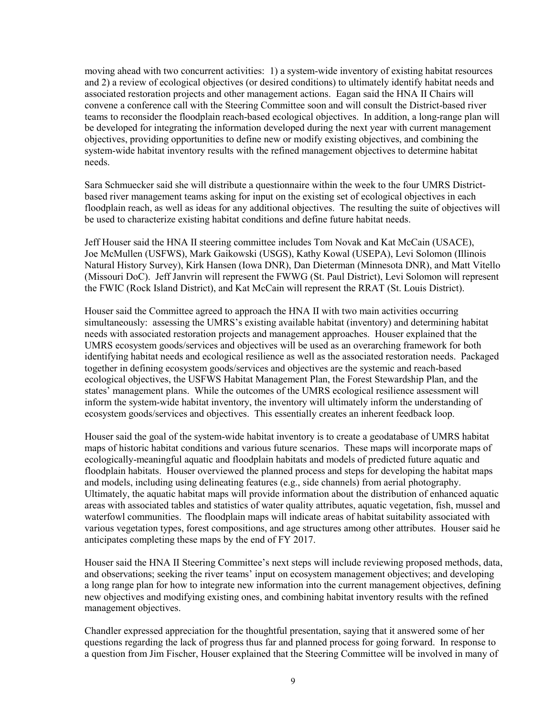moving ahead with two concurrent activities: 1) a system-wide inventory of existing habitat resources and 2) a review of ecological objectives (or desired conditions) to ultimately identify habitat needs and associated restoration projects and other management actions. Eagan said the HNA II Chairs will convene a conference call with the Steering Committee soon and will consult the District-based river teams to reconsider the floodplain reach-based ecological objectives. In addition, a long-range plan will be developed for integrating the information developed during the next year with current management objectives, providing opportunities to define new or modify existing objectives, and combining the system-wide habitat inventory results with the refined management objectives to determine habitat needs.

Sara Schmuecker said she will distribute a questionnaire within the week to the four UMRS Districtbased river management teams asking for input on the existing set of ecological objectives in each floodplain reach, as well as ideas for any additional objectives. The resulting the suite of objectives will be used to characterize existing habitat conditions and define future habitat needs.

Jeff Houser said the HNA II steering committee includes Tom Novak and Kat McCain (USACE), Joe McMullen (USFWS), Mark Gaikowski (USGS), Kathy Kowal (USEPA), Levi Solomon (Illinois Natural History Survey), Kirk Hansen (Iowa DNR), Dan Dieterman (Minnesota DNR), and Matt Vitello (Missouri DoC). Jeff Janvrin will represent the FWWG (St. Paul District), Levi Solomon will represent the FWIC (Rock Island District), and Kat McCain will represent the RRAT (St. Louis District).

Houser said the Committee agreed to approach the HNA II with two main activities occurring simultaneously: assessing the UMRS's existing available habitat (inventory) and determining habitat needs with associated restoration projects and management approaches. Houser explained that the UMRS ecosystem goods/services and objectives will be used as an overarching framework for both identifying habitat needs and ecological resilience as well as the associated restoration needs. Packaged together in defining ecosystem goods/services and objectives are the systemic and reach-based ecological objectives, the USFWS Habitat Management Plan, the Forest Stewardship Plan, and the states' management plans. While the outcomes of the UMRS ecological resilience assessment will inform the system-wide habitat inventory, the inventory will ultimately inform the understanding of ecosystem goods/services and objectives. This essentially creates an inherent feedback loop.

Houser said the goal of the system-wide habitat inventory is to create a geodatabase of UMRS habitat maps of historic habitat conditions and various future scenarios. These maps will incorporate maps of ecologically-meaningful aquatic and floodplain habitats and models of predicted future aquatic and floodplain habitats. Houser overviewed the planned process and steps for developing the habitat maps and models, including using delineating features (e.g., side channels) from aerial photography. Ultimately, the aquatic habitat maps will provide information about the distribution of enhanced aquatic areas with associated tables and statistics of water quality attributes, aquatic vegetation, fish, mussel and waterfowl communities. The floodplain maps will indicate areas of habitat suitability associated with various vegetation types, forest compositions, and age structures among other attributes. Houser said he anticipates completing these maps by the end of FY 2017.

Houser said the HNA II Steering Committee's next steps will include reviewing proposed methods, data, and observations; seeking the river teams' input on ecosystem management objectives; and developing a long range plan for how to integrate new information into the current management objectives, defining new objectives and modifying existing ones, and combining habitat inventory results with the refined management objectives.

Chandler expressed appreciation for the thoughtful presentation, saying that it answered some of her questions regarding the lack of progress thus far and planned process for going forward. In response to a question from Jim Fischer, Houser explained that the Steering Committee will be involved in many of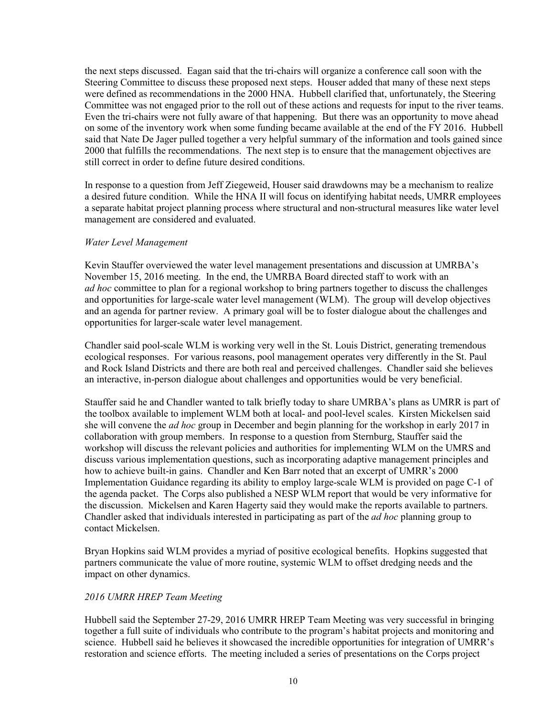the next steps discussed. Eagan said that the tri-chairs will organize a conference call soon with the Steering Committee to discuss these proposed next steps. Houser added that many of these next steps were defined as recommendations in the 2000 HNA. Hubbell clarified that, unfortunately, the Steering Committee was not engaged prior to the roll out of these actions and requests for input to the river teams. Even the tri-chairs were not fully aware of that happening. But there was an opportunity to move ahead on some of the inventory work when some funding became available at the end of the FY 2016. Hubbell said that Nate De Jager pulled together a very helpful summary of the information and tools gained since 2000 that fulfills the recommendations. The next step is to ensure that the management objectives are still correct in order to define future desired conditions.

In response to a question from Jeff Ziegeweid, Houser said drawdowns may be a mechanism to realize a desired future condition. While the HNA II will focus on identifying habitat needs, UMRR employees a separate habitat project planning process where structural and non-structural measures like water level management are considered and evaluated.

### *Water Level Management*

Kevin Stauffer overviewed the water level management presentations and discussion at UMRBA's November 15, 2016 meeting. In the end, the UMRBA Board directed staff to work with an *ad hoc* committee to plan for a regional workshop to bring partners together to discuss the challenges and opportunities for large-scale water level management (WLM). The group will develop objectives and an agenda for partner review. A primary goal will be to foster dialogue about the challenges and opportunities for larger-scale water level management.

Chandler said pool-scale WLM is working very well in the St. Louis District, generating tremendous ecological responses. For various reasons, pool management operates very differently in the St. Paul and Rock Island Districts and there are both real and perceived challenges. Chandler said she believes an interactive, in-person dialogue about challenges and opportunities would be very beneficial.

Stauffer said he and Chandler wanted to talk briefly today to share UMRBA's plans as UMRR is part of the toolbox available to implement WLM both at local- and pool-level scales. Kirsten Mickelsen said she will convene the *ad hoc* group in December and begin planning for the workshop in early 2017 in collaboration with group members. In response to a question from Sternburg, Stauffer said the workshop will discuss the relevant policies and authorities for implementing WLM on the UMRS and discuss various implementation questions, such as incorporating adaptive management principles and how to achieve built-in gains. Chandler and Ken Barr noted that an excerpt of UMRR's 2000 Implementation Guidance regarding its ability to employ large-scale WLM is provided on page C-1 of the agenda packet. The Corps also published a NESP WLM report that would be very informative for the discussion. Mickelsen and Karen Hagerty said they would make the reports available to partners. Chandler asked that individuals interested in participating as part of the *ad hoc* planning group to contact Mickelsen.

Bryan Hopkins said WLM provides a myriad of positive ecological benefits. Hopkins suggested that partners communicate the value of more routine, systemic WLM to offset dredging needs and the impact on other dynamics.

### *2016 UMRR HREP Team Meeting*

Hubbell said the September 27-29, 2016 UMRR HREP Team Meeting was very successful in bringing together a full suite of individuals who contribute to the program's habitat projects and monitoring and science. Hubbell said he believes it showcased the incredible opportunities for integration of UMRR's restoration and science efforts. The meeting included a series of presentations on the Corps project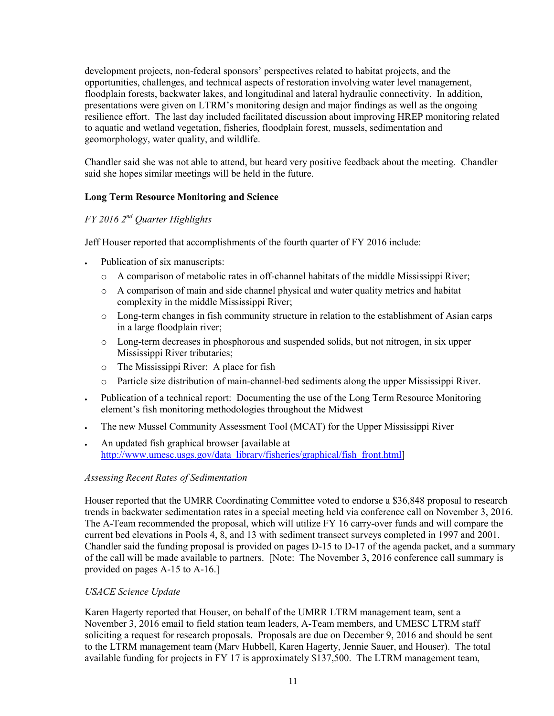development projects, non-federal sponsors' perspectives related to habitat projects, and the opportunities, challenges, and technical aspects of restoration involving water level management, floodplain forests, backwater lakes, and longitudinal and lateral hydraulic connectivity. In addition, presentations were given on LTRM's monitoring design and major findings as well as the ongoing resilience effort. The last day included facilitated discussion about improving HREP monitoring related to aquatic and wetland vegetation, fisheries, floodplain forest, mussels, sedimentation and geomorphology, water quality, and wildlife.

Chandler said she was not able to attend, but heard very positive feedback about the meeting. Chandler said she hopes similar meetings will be held in the future.

## **Long Term Resource Monitoring and Science**

# *FY 2016 2nd Quarter Highlights*

Jeff Houser reported that accomplishments of the fourth quarter of FY 2016 include:

- Publication of six manuscripts:
	- $\circ$  A comparison of metabolic rates in off-channel habitats of the middle Mississippi River;
	- o A comparison of main and side channel physical and water quality metrics and habitat complexity in the middle Mississippi River;
	- o Long-term changes in fish community structure in relation to the establishment of Asian carps in a large floodplain river;
	- o Long-term decreases in phosphorous and suspended solids, but not nitrogen, in six upper Mississippi River tributaries;
	- o The Mississippi River: A place for fish
	- o Particle size distribution of main-channel-bed sediments along the upper Mississippi River.
- Publication of a technical report: Documenting the use of the Long Term Resource Monitoring element's fish monitoring methodologies throughout the Midwest
- The new Mussel Community Assessment Tool (MCAT) for the Upper Mississippi River
- An updated fish graphical browser [available at [http://www.umesc.usgs.gov/data\\_library/fisheries/graphical/fish\\_front.html\]](http://www.umesc.usgs.gov/data_library/fisheries/graphical/fish_front.html)

## *Assessing Recent Rates of Sedimentation*

Houser reported that the UMRR Coordinating Committee voted to endorse a \$36,848 proposal to research trends in backwater sedimentation rates in a special meeting held via conference call on November 3, 2016. The A-Team recommended the proposal, which will utilize FY 16 carry-over funds and will compare the current bed elevations in Pools 4, 8, and 13 with sediment transect surveys completed in 1997 and 2001. Chandler said the funding proposal is provided on pages D-15 to D-17 of the agenda packet, and a summary of the call will be made available to partners. [Note: The November 3, 2016 conference call summary is provided on pages A-15 to A-16.]

## *USACE Science Update*

Karen Hagerty reported that Houser, on behalf of the UMRR LTRM management team, sent a November 3, 2016 email to field station team leaders, A-Team members, and UMESC LTRM staff soliciting a request for research proposals. Proposals are due on December 9, 2016 and should be sent to the LTRM management team (Marv Hubbell, Karen Hagerty, Jennie Sauer, and Houser). The total available funding for projects in FY 17 is approximately \$137,500. The LTRM management team,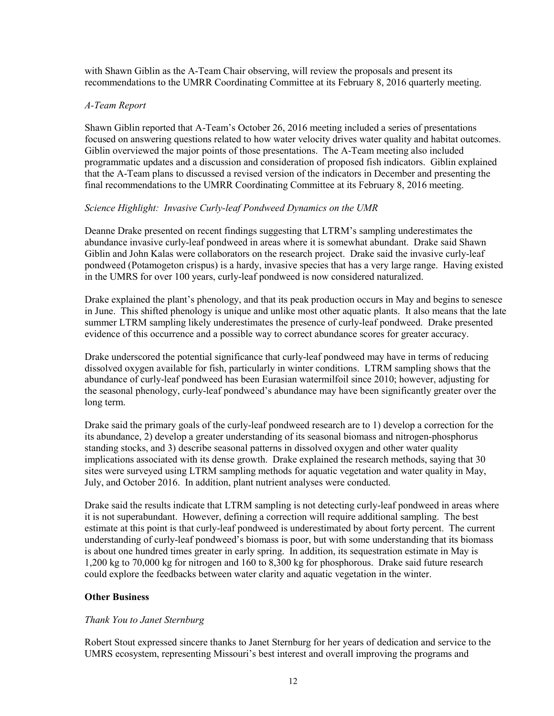with Shawn Giblin as the A-Team Chair observing, will review the proposals and present its recommendations to the UMRR Coordinating Committee at its February 8, 2016 quarterly meeting.

### *A-Team Report*

Shawn Giblin reported that A-Team's October 26, 2016 meeting included a series of presentations focused on answering questions related to how water velocity drives water quality and habitat outcomes. Giblin overviewed the major points of those presentations. The A-Team meeting also included programmatic updates and a discussion and consideration of proposed fish indicators. Giblin explained that the A-Team plans to discussed a revised version of the indicators in December and presenting the final recommendations to the UMRR Coordinating Committee at its February 8, 2016 meeting.

### *Science Highlight: Invasive Curly-leaf Pondweed Dynamics on the UMR*

Deanne Drake presented on recent findings suggesting that LTRM's sampling underestimates the abundance invasive curly-leaf pondweed in areas where it is somewhat abundant. Drake said Shawn Giblin and John Kalas were collaborators on the research project. Drake said the invasive curly-leaf pondweed (Potamogeton crispus) is a hardy, invasive species that has a very large range. Having existed in the UMRS for over 100 years, curly-leaf pondweed is now considered naturalized.

Drake explained the plant's phenology, and that its peak production occurs in May and begins to senesce in June. This shifted phenology is unique and unlike most other aquatic plants. It also means that the late summer LTRM sampling likely underestimates the presence of curly-leaf pondweed. Drake presented evidence of this occurrence and a possible way to correct abundance scores for greater accuracy.

Drake underscored the potential significance that curly-leaf pondweed may have in terms of reducing dissolved oxygen available for fish, particularly in winter conditions. LTRM sampling shows that the abundance of curly-leaf pondweed has been Eurasian watermilfoil since 2010; however, adjusting for the seasonal phenology, curly-leaf pondweed's abundance may have been significantly greater over the long term.

Drake said the primary goals of the curly-leaf pondweed research are to 1) develop a correction for the its abundance, 2) develop a greater understanding of its seasonal biomass and nitrogen-phosphorus standing stocks, and 3) describe seasonal patterns in dissolved oxygen and other water quality implications associated with its dense growth. Drake explained the research methods, saying that 30 sites were surveyed using LTRM sampling methods for aquatic vegetation and water quality in May, July, and October 2016. In addition, plant nutrient analyses were conducted.

Drake said the results indicate that LTRM sampling is not detecting curly-leaf pondweed in areas where it is not superabundant. However, defining a correction will require additional sampling. The best estimate at this point is that curly-leaf pondweed is underestimated by about forty percent. The current understanding of curly-leaf pondweed's biomass is poor, but with some understanding that its biomass is about one hundred times greater in early spring. In addition, its sequestration estimate in May is 1,200 kg to 70,000 kg for nitrogen and 160 to 8,300 kg for phosphorous. Drake said future research could explore the feedbacks between water clarity and aquatic vegetation in the winter.

## **Other Business**

## *Thank You to Janet Sternburg*

Robert Stout expressed sincere thanks to Janet Sternburg for her years of dedication and service to the UMRS ecosystem, representing Missouri's best interest and overall improving the programs and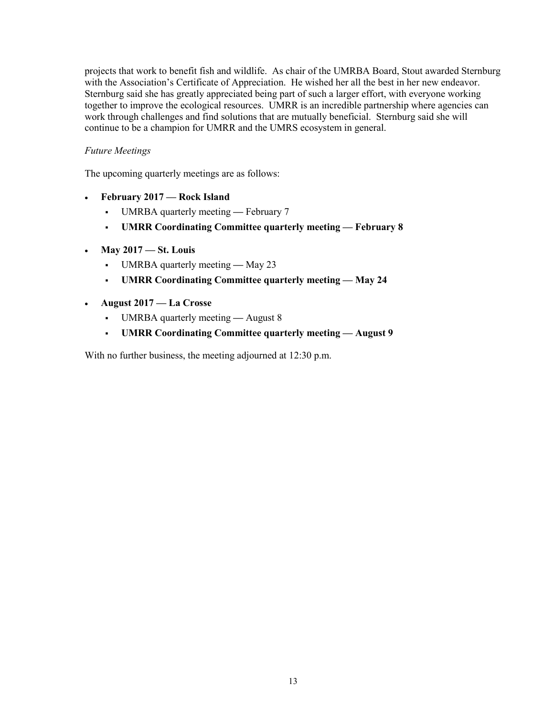projects that work to benefit fish and wildlife. As chair of the UMRBA Board, Stout awarded Sternburg with the Association's Certificate of Appreciation. He wished her all the best in her new endeavor. Sternburg said she has greatly appreciated being part of such a larger effort, with everyone working together to improve the ecological resources. UMRR is an incredible partnership where agencies can work through challenges and find solutions that are mutually beneficial. Sternburg said she will continue to be a champion for UMRR and the UMRS ecosystem in general.

### *Future Meetings*

The upcoming quarterly meetings are as follows:

- **February 2017 — Rock Island**
	- UMRBA quarterly meeting **—** February 7
	- **UMRR Coordinating Committee quarterly meeting — February 8**
- **May 2017 — St. Louis**
	- UMRBA quarterly meeting **—** May 23
	- **UMRR Coordinating Committee quarterly meeting — May 24**
- **August 2017 — La Crosse**
	- UMRBA quarterly meeting **—** August 8
	- **UMRR Coordinating Committee quarterly meeting — August 9**

With no further business, the meeting adjourned at 12:30 p.m.